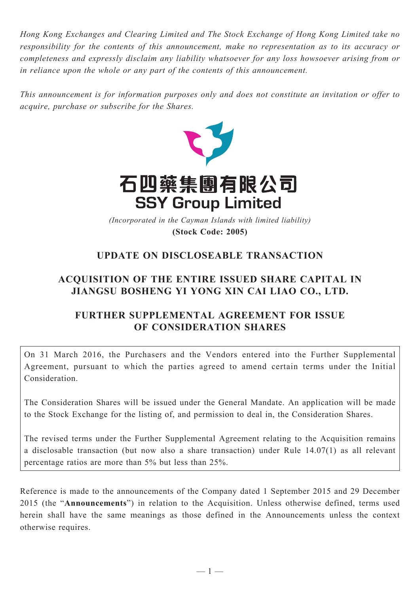*Hong Kong Exchanges and Clearing Limited and The Stock Exchange of Hong Kong Limited take no responsibility for the contents of this announcement, make no representation as to its accuracy or completeness and expressly disclaim any liability whatsoever for any loss howsoever arising from or in reliance upon the whole or any part of the contents of this announcement.*

*This announcement is for information purposes only and does not constitute an invitation or offer to acquire, purchase or subscribe for the Shares.*



**(Stock Code: 2005)** *(Incorporated in the Cayman Islands with limited liability)* 

## **UPDATE ON DISCLOSEABLE TRANSACTION**

# **ACQUISITION OF THE ENTIRE ISSUED SHARE CAPITAL IN JIANGSU BOSHENG YI YONG XIN CAI LIAO CO., LTD.**

## **FURTHER SUPPLEMENTAL AGREEMENT FOR ISSUE OF CONSIDERATION SHARES**

On 31 March 2016, the Purchasers and the Vendors entered into the Further Supplemental Agreement, pursuant to which the parties agreed to amend certain terms under the Initial Consideration.

The Consideration Shares will be issued under the General Mandate. An application will be made to the Stock Exchange for the listing of, and permission to deal in, the Consideration Shares.

The revised terms under the Further Supplemental Agreement relating to the Acquisition remains a disclosable transaction (but now also a share transaction) under Rule 14.07(1) as all relevant percentage ratios are more than 5% but less than 25%.

Reference is made to the announcements of the Company dated 1 September 2015 and 29 December 2015 (the "**Announcements**") in relation to the Acquisition. Unless otherwise defined, terms used herein shall have the same meanings as those defined in the Announcements unless the context otherwise requires.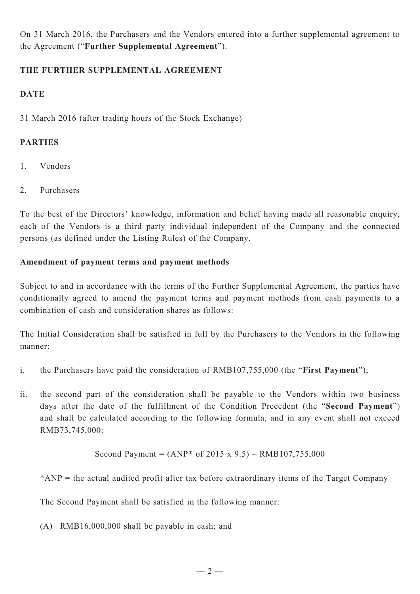On 31 March 2016, the Purchasers and the Vendors entered into a further supplemental agreement to the Agreement ("**Further Supplemental Agreement**").

#### **THE FURTHER SUPPLEMENTAL AGREEMENT**

### **DATE**

31 March 2016 (after trading hours of the Stock Exchange)

### **Parties**

- 1. Vendors
- 2. Purchasers

To the best of the Directors' knowledge, information and belief having made all reasonable enquiry, each of the Vendors is a third party individual independent of the Company and the connected persons (as defined under the Listing Rules) of the Company.

### **Amendment of payment terms and payment methods**

Subject to and in accordance with the terms of the Further Supplemental Agreement, the parties have conditionally agreed to amend the payment terms and payment methods from cash payments to a combination of cash and consideration shares as follows:

The Initial Consideration shall be satisfied in full by the Purchasers to the Vendors in the following manner:

- i. the Purchasers have paid the consideration of RMB107,755,000 (the "**First Payment**");
- ii. the second part of the consideration shall be payable to the Vendors within two business days after the date of the fulfillment of the Condition Precedent (the "**Second Payment**") and shall be calculated according to the following formula, and in any event shall not exceed RMB73,745,000:

Second Payment = 
$$
(ANP^* of 2015 \times 9.5) - RMB107,755,000
$$

\*ANP = the actual audited profit after tax before extraordinary items of the Target Company

The Second Payment shall be satisfied in the following manner:

(A) RMB16,000,000 shall be payable in cash; and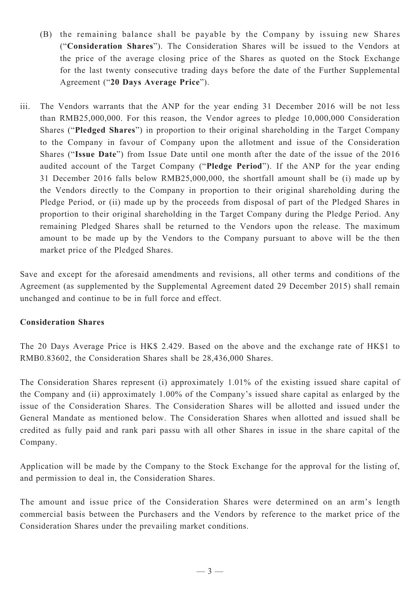- (B) the remaining balance shall be payable by the Company by issuing new Shares ("**Consideration Shares**"). The Consideration Shares will be issued to the Vendors at the price of the average closing price of the Shares as quoted on the Stock Exchange for the last twenty consecutive trading days before the date of the Further Supplemental Agreement ("**20 Days Average Price**").
- iii. The Vendors warrants that the ANP for the year ending 31 December 2016 will be not less than RMB25,000,000. For this reason, the Vendor agrees to pledge 10,000,000 Consideration Shares ("**Pledged Shares**") in proportion to their original shareholding in the Target Company to the Company in favour of Company upon the allotment and issue of the Consideration Shares ("**Issue Date**") from Issue Date until one month after the date of the issue of the 2016 audited account of the Target Company ("**Pledge Period**"). If the ANP for the year ending 31 December 2016 falls below RMB25,000,000, the shortfall amount shall be (i) made up by the Vendors directly to the Company in proportion to their original shareholding during the Pledge Period, or (ii) made up by the proceeds from disposal of part of the Pledged Shares in proportion to their original shareholding in the Target Company during the Pledge Period. Any remaining Pledged Shares shall be returned to the Vendors upon the release. The maximum amount to be made up by the Vendors to the Company pursuant to above will be the then market price of the Pledged Shares.

Save and except for the aforesaid amendments and revisions, all other terms and conditions of the Agreement (as supplemented by the Supplemental Agreement dated 29 December 2015) shall remain unchanged and continue to be in full force and effect.

#### **Consideration Shares**

The 20 Days Average Price is HK\$ 2.429. Based on the above and the exchange rate of HK\$1 to RMB0.83602, the Consideration Shares shall be 28,436,000 Shares.

The Consideration Shares represent (i) approximately 1.01% of the existing issued share capital of the Company and (ii) approximately 1.00% of the Company's issued share capital as enlarged by the issue of the Consideration Shares. The Consideration Shares will be allotted and issued under the General Mandate as mentioned below. The Consideration Shares when allotted and issued shall be credited as fully paid and rank pari passu with all other Shares in issue in the share capital of the Company.

Application will be made by the Company to the Stock Exchange for the approval for the listing of, and permission to deal in, the Consideration Shares.

The amount and issue price of the Consideration Shares were determined on an arm's length commercial basis between the Purchasers and the Vendors by reference to the market price of the Consideration Shares under the prevailing market conditions.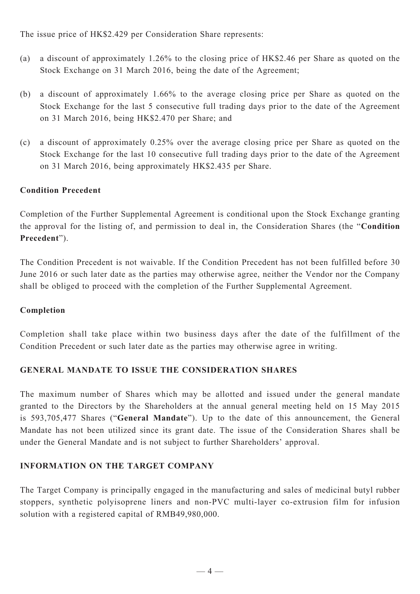The issue price of HK\$2.429 per Consideration Share represents:

- (a) a discount of approximately 1.26% to the closing price of HK\$2.46 per Share as quoted on the Stock Exchange on 31 March 2016, being the date of the Agreement;
- (b) a discount of approximately 1.66% to the average closing price per Share as quoted on the Stock Exchange for the last 5 consecutive full trading days prior to the date of the Agreement on 31 March 2016, being HK\$2.470 per Share; and
- (c) a discount of approximately 0.25% over the average closing price per Share as quoted on the Stock Exchange for the last 10 consecutive full trading days prior to the date of the Agreement on 31 March 2016, being approximately HK\$2.435 per Share.

### **Condition Precedent**

Completion of the Further Supplemental Agreement is conditional upon the Stock Exchange granting the approval for the listing of, and permission to deal in, the Consideration Shares (the "**Condition Precedent**").

The Condition Precedent is not waivable. If the Condition Precedent has not been fulfilled before 30 June 2016 or such later date as the parties may otherwise agree, neither the Vendor nor the Company shall be obliged to proceed with the completion of the Further Supplemental Agreement.

### **Completion**

Completion shall take place within two business days after the date of the fulfillment of the Condition Precedent or such later date as the parties may otherwise agree in writing.

### **GENERAL MANDATE TO ISSUE THE CONSIDERATION SHARES**

The maximum number of Shares which may be allotted and issued under the general mandate granted to the Directors by the Shareholders at the annual general meeting held on 15 May 2015 is 593,705,477 Shares ("**General Mandate**"). Up to the date of this announcement, the General Mandate has not been utilized since its grant date. The issue of the Consideration Shares shall be under the General Mandate and is not subject to further Shareholders' approval.

### **INFORMATION ON THE TARGET COMPANY**

The Target Company is principally engaged in the manufacturing and sales of medicinal butyl rubber stoppers, synthetic polyisoprene liners and non-PVC multi-layer co-extrusion film for infusion solution with a registered capital of RMB49,980,000.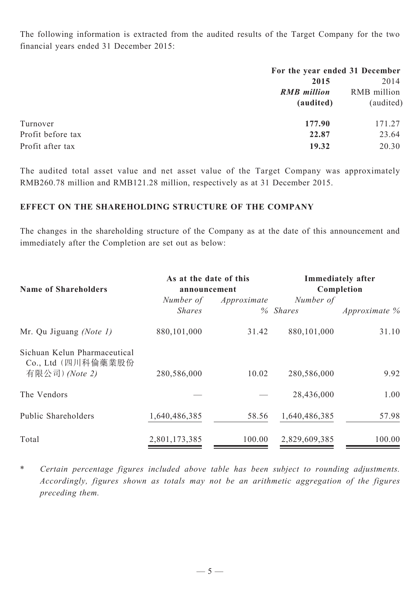The following information is extracted from the audited results of the Target Company for the two financial years ended 31 December 2015:

|                   | For the year ended 31 December |             |  |
|-------------------|--------------------------------|-------------|--|
|                   | 2015                           | 2014        |  |
|                   | <b>RMB</b> million             | RMB million |  |
|                   | (audited)                      | (audited)   |  |
| Turnover          | 177.90                         | 171.27      |  |
| Profit before tax | 22.87                          | 23.64       |  |
| Profit after tax  | 19.32                          | 20.30       |  |

The audited total asset value and net asset value of the Target Company was approximately RMB260.78 million and RMB121.28 million, respectively as at 31 December 2015.

### **EFFECT ON THE SHAREHOLDING STRUCTURE OF THE COMPANY**

The changes in the shareholding structure of the Company as at the date of this announcement and immediately after the Completion are set out as below:

| <b>Name of Shareholders</b>                                          | As at the date of this<br>announcement |             | <b>Immediately after</b><br>Completion |                  |
|----------------------------------------------------------------------|----------------------------------------|-------------|----------------------------------------|------------------|
|                                                                      | Number of<br><b>Shares</b>             | Approximate | Number of<br>% Shares                  | Approximate $\%$ |
| Mr. Qu Jiguang (Note 1)                                              | 880, 101, 000                          | 31.42       | 880,101,000                            | 31.10            |
| Sichuan Kelun Pharmaceutical<br>Co., Ltd (四川科倫藥業股份<br>有限公司) (Note 2) | 280,586,000                            | 10.02       | 280,586,000                            | 9.92             |
| The Vendors                                                          |                                        |             | 28,436,000                             | 1.00             |
| Public Shareholders                                                  | 1,640,486,385                          | 58.56       | 1,640,486,385                          | 57.98            |
| Total                                                                | 2,801,173,385                          | 100.00      | 2,829,609,385                          | 100.00           |

\* *Certain percentage figures included above table has been subject to rounding adjustments. Accordingly, figures shown as totals may not be an arithmetic aggregation of the figures preceding them.*